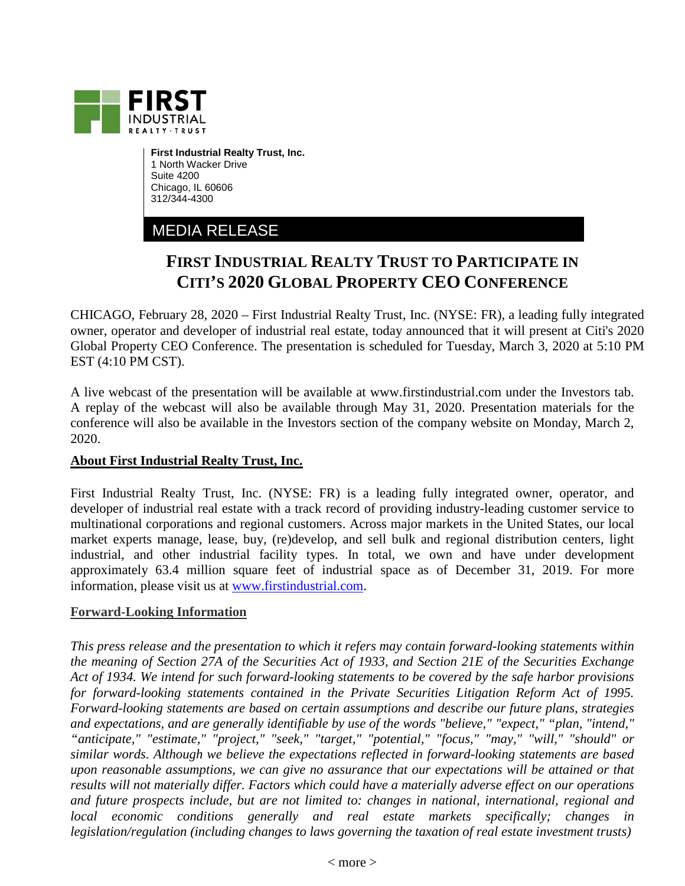

**First Industrial Realty Trust, Inc.** 1 North Wacker Drive Suite 4200 Chicago, IL 60606 312/344-4300

## MEDIA RELEASE

## **FIRST INDUSTRIAL REALTY TRUST TO PARTICIPATE IN CITI'S 2020 GLOBAL PROPERTY CEO CONFERENCE**

CHICAGO, February 28, 2020 – First Industrial Realty Trust, Inc. (NYSE: FR), a leading fully integrated owner, operator and developer of industrial real estate, today announced that it will present at Citi's 2020 Global Property CEO Conference. The presentation is scheduled for Tuesday, March 3, 2020 at 5:10 PM EST (4:10 PM CST).

A live webcast of the presentation will be available at www.firstindustrial.com under the Investors tab. A replay of the webcast will also be available through May 31, 2020. Presentation materials for the conference will also be available in the Investors section of the company website on Monday, March 2, 2020.

## **About First Industrial Realty Trust, Inc.**

First Industrial Realty Trust, Inc. (NYSE: FR) is a leading fully integrated owner, operator, and developer of industrial real estate with a track record of providing industry-leading customer service to multinational corporations and regional customers. Across major markets in the United States, our local market experts manage, lease, buy, (re)develop, and sell bulk and regional distribution centers, light industrial, and other industrial facility types. In total, we own and have under development approximately 63.4 million square feet of industrial space as of December 31, 2019. For more information, please visit us at [www.firstindustrial.com.](http://www.firstindustrial.com/)

## **Forward-Looking Information**

*This press release and the presentation to which it refers may contain forward-looking statements within the meaning of Section 27A of the Securities Act of 1933, and Section 21E of the Securities Exchange Act of 1934. We intend for such forward-looking statements to be covered by the safe harbor provisions for forward-looking statements contained in the Private Securities Litigation Reform Act of 1995. Forward-looking statements are based on certain assumptions and describe our future plans, strategies and expectations, and are generally identifiable by use of the words "believe," "expect," "plan, "intend," "anticipate," "estimate," "project," "seek," "target," "potential," "focus," "may," "will," "should" or similar words. Although we believe the expectations reflected in forward-looking statements are based upon reasonable assumptions, we can give no assurance that our expectations will be attained or that results will not materially differ. Factors which could have a materially adverse effect on our operations and future prospects include, but are not limited to: changes in national, international, regional and local economic conditions generally and real estate markets specifically; changes in legislation/regulation (including changes to laws governing the taxation of real estate investment trusts)*